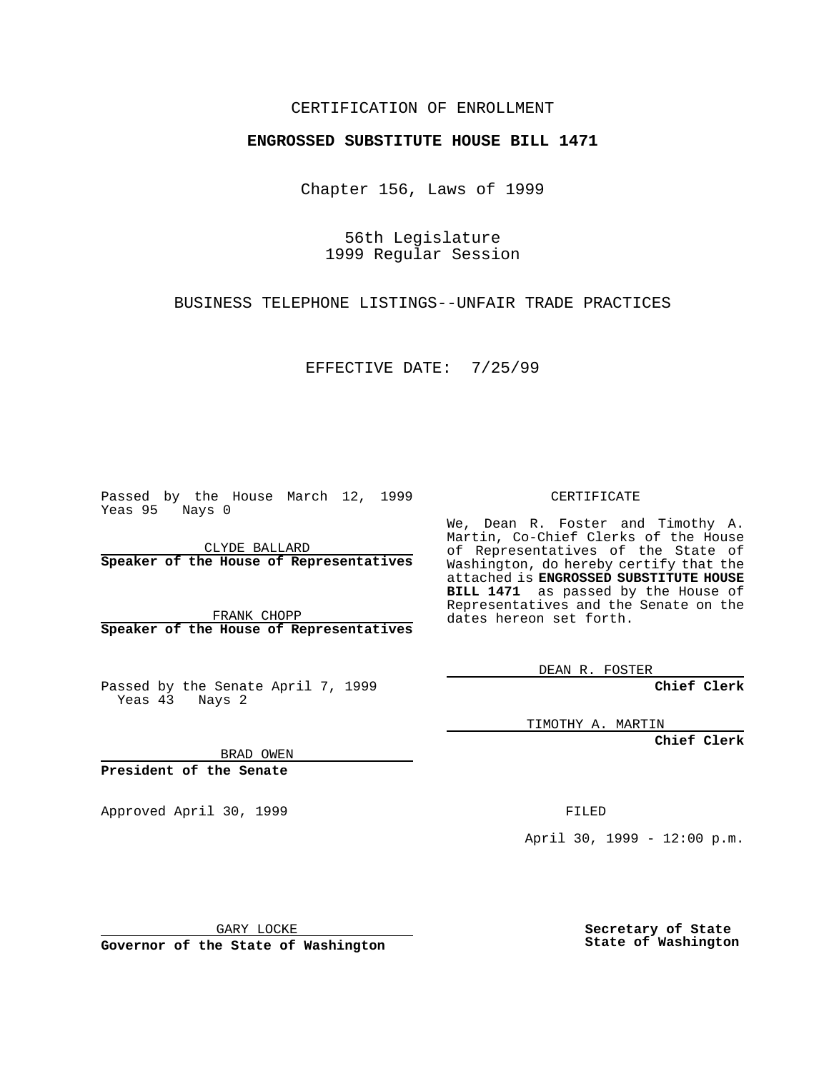## CERTIFICATION OF ENROLLMENT

## **ENGROSSED SUBSTITUTE HOUSE BILL 1471**

Chapter 156, Laws of 1999

56th Legislature 1999 Regular Session

BUSINESS TELEPHONE LISTINGS--UNFAIR TRADE PRACTICES

EFFECTIVE DATE: 7/25/99

Passed by the House March 12, 1999 Yeas 95 Nays 0

CLYDE BALLARD **Speaker of the House of Representatives**

FRANK CHOPP **Speaker of the House of Representatives**

Passed by the Senate April 7, 1999 Yeas 43 Nays 2

CERTIFICATE

We, Dean R. Foster and Timothy A. Martin, Co-Chief Clerks of the House of Representatives of the State of Washington, do hereby certify that the attached is **ENGROSSED SUBSTITUTE HOUSE BILL 1471** as passed by the House of Representatives and the Senate on the dates hereon set forth.

DEAN R. FOSTER

**Chief Clerk**

TIMOTHY A. MARTIN

**Chief Clerk**

BRAD OWEN

**President of the Senate**

Approved April 30, 1999 **FILED** 

April 30, 1999 - 12:00 p.m.

GARY LOCKE

**Governor of the State of Washington**

**Secretary of State State of Washington**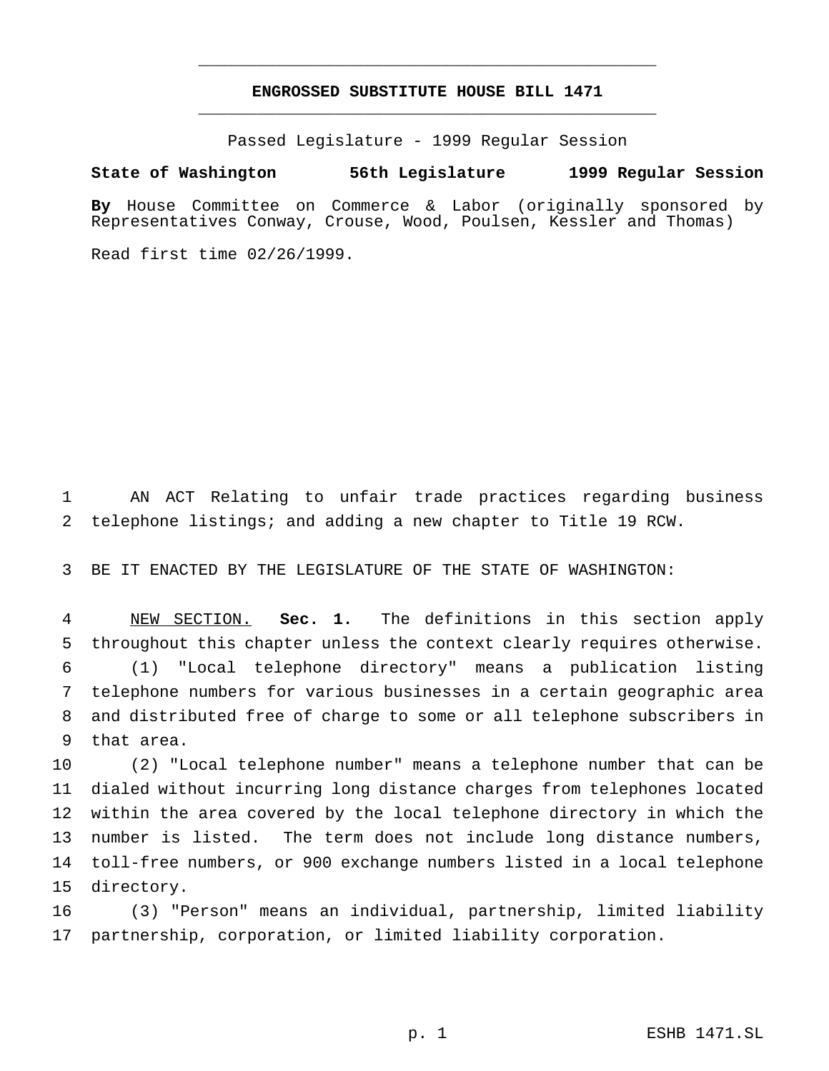## **ENGROSSED SUBSTITUTE HOUSE BILL 1471** \_\_\_\_\_\_\_\_\_\_\_\_\_\_\_\_\_\_\_\_\_\_\_\_\_\_\_\_\_\_\_\_\_\_\_\_\_\_\_\_\_\_\_\_\_\_\_

\_\_\_\_\_\_\_\_\_\_\_\_\_\_\_\_\_\_\_\_\_\_\_\_\_\_\_\_\_\_\_\_\_\_\_\_\_\_\_\_\_\_\_\_\_\_\_

Passed Legislature - 1999 Regular Session

## **State of Washington 56th Legislature 1999 Regular Session**

**By** House Committee on Commerce & Labor (originally sponsored by Representatives Conway, Crouse, Wood, Poulsen, Kessler and Thomas)

Read first time 02/26/1999.

 AN ACT Relating to unfair trade practices regarding business telephone listings; and adding a new chapter to Title 19 RCW.

BE IT ENACTED BY THE LEGISLATURE OF THE STATE OF WASHINGTON:

 NEW SECTION. **Sec. 1.** The definitions in this section apply throughout this chapter unless the context clearly requires otherwise. (1) "Local telephone directory" means a publication listing telephone numbers for various businesses in a certain geographic area and distributed free of charge to some or all telephone subscribers in that area.

 (2) "Local telephone number" means a telephone number that can be dialed without incurring long distance charges from telephones located within the area covered by the local telephone directory in which the number is listed. The term does not include long distance numbers, toll-free numbers, or 900 exchange numbers listed in a local telephone directory.

 (3) "Person" means an individual, partnership, limited liability partnership, corporation, or limited liability corporation.